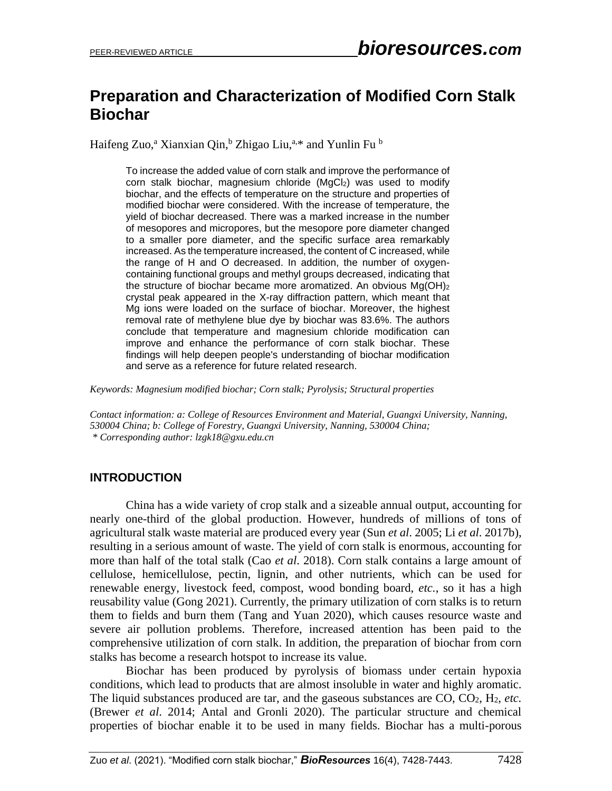# **Preparation and Characterization of Modified Corn Stalk Biochar**

Haifeng Zuo,<sup>a</sup> Xianxian Qin,<sup>b</sup> Zhigao Liu,<sup>a,\*</sup> and Yunlin Fu <sup>b</sup>

To increase the added value of corn stalk and improve the performance of corn stalk biochar, magnesium chloride (MgCl<sub>2</sub>) was used to modify biochar, and the effects of temperature on the structure and properties of modified biochar were considered. With the increase of temperature, the yield of biochar decreased. There was a marked increase in the number of mesopores and micropores, but the mesopore pore diameter changed to a smaller pore diameter, and the specific surface area remarkably increased. As the temperature increased, the content of C increased, while the range of H and O decreased. In addition, the number of oxygencontaining functional groups and methyl groups decreased, indicating that the structure of biochar became more aromatized. An obvious Mg(OH)<sub>2</sub> crystal peak appeared in the X-ray diffraction pattern, which meant that Mg ions were loaded on the surface of biochar. Moreover, the highest removal rate of methylene blue dye by biochar was 83.6%. The authors conclude that temperature and magnesium chloride modification can improve and enhance the performance of corn stalk biochar. These findings will help deepen people's understanding of biochar modification and serve as a reference for future related research.

*Keywords: Magnesium modified biochar; Corn stalk; Pyrolysis; Structural properties*

*Contact information: a: College of Resources Environment and Material, Guangxi University, Nanning, 530004 China; b: College of Forestry, Guangxi University, Nanning, 530004 China; \* Corresponding author: lzgk18@gxu.edu.cn*

# **INTRODUCTION**

China has a wide variety of crop stalk and a sizeable annual output, accounting for nearly one-third of the global production. However, hundreds of millions of tons of agricultural stalk waste material are produced every year (Sun *et al*. 2005; Li *et al*. 2017b), resulting in a serious amount of waste. The yield of corn stalk is enormous, accounting for more than half of the total stalk (Cao *et al*. 2018). Corn stalk contains a large amount of cellulose, hemicellulose, pectin, lignin, and other nutrients, which can be used for renewable energy, livestock feed, compost, wood bonding board, *etc.*, so it has a high reusability value (Gong 2021). Currently, the primary utilization of corn stalks is to return them to fields and burn them (Tang and Yuan 2020), which causes resource waste and severe air pollution problems. Therefore, increased attention has been paid to the comprehensive utilization of corn stalk. In addition, the preparation of biochar from corn stalks has become a research hotspot to increase its value.

Biochar has been produced by pyrolysis of biomass under certain hypoxia conditions, which lead to products that are almost insoluble in water and highly aromatic. The liquid substances produced are tar, and the gaseous substances are CO, CO2, H2, *etc.* (Brewer *et al*. 2014; Antal and Gronli 2020). The particular structure and chemical properties of biochar enable it to be used in many fields. Biochar has a multi-porous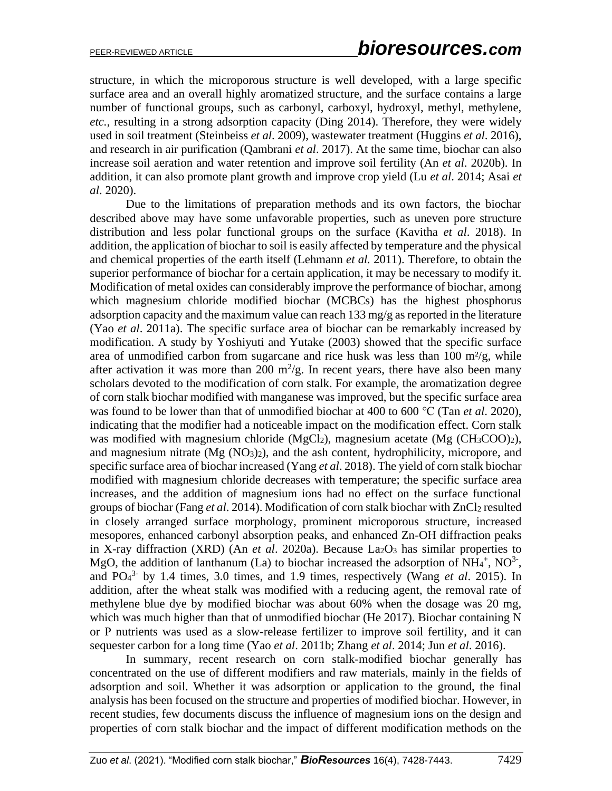structure, in which the microporous structure is well developed, with a large specific surface area and an overall highly aromatized structure, and the surface contains a large number of functional groups, such as carbonyl, carboxyl, hydroxyl, methyl, methylene, *etc.*, resulting in a strong adsorption capacity (Ding 2014). Therefore, they were widely used in soil treatment (Steinbeiss *et al*. 2009), wastewater treatment (Huggins *et al*. 2016), and research in air purification (Qambrani *et al*. 2017). At the same time, biochar can also increase soil aeration and water retention and improve soil fertility (An *et al*. 2020b). In addition, it can also promote plant growth and improve crop yield (Lu *et al*. 2014; Asai *et al*. 2020).

Due to the limitations of preparation methods and its own factors, the biochar described above may have some unfavorable properties, such as uneven pore structure distribution and less polar functional groups on the surface (Kavitha *et al*. 2018). In addition, the application of biochar to soil is easily affected by temperature and the physical and chemical properties of the earth itself (Lehmann *et al.* 2011). Therefore, to obtain the superior performance of biochar for a certain application, it may be necessary to modify it. Modification of metal oxides can considerably improve the performance of biochar, among which magnesium chloride modified biochar (MCBCs) has the highest phosphorus adsorption capacity and the maximum value can reach 133 mg/g as reported in the literature (Yao *et al*. 2011a). The specific surface area of biochar can be remarkably increased by modification. A study by Yoshiyuti and Yutake (2003) showed that the specific surface area of unmodified carbon from sugarcane and rice husk was less than  $100 \text{ m}^2/\text{g}$ , while after activation it was more than 200  $m^2/g$ . In recent years, there have also been many scholars devoted to the modification of corn stalk. For example, the aromatization degree of corn stalk biochar modified with manganese was improved, but the specific surface area was found to be lower than that of unmodified biochar at 400 to 600 ℃ (Tan *et al*. 2020), indicating that the modifier had a noticeable impact on the modification effect. Corn stalk was modified with magnesium chloride (MgCl<sub>2</sub>), magnesium acetate (Mg (CH<sub>3</sub>COO)<sub>2</sub>), and magnesium nitrate  $(Mg (NO<sub>3</sub>)<sub>2</sub>)$ , and the ash content, hydrophilicity, micropore, and specific surface area of biochar increased (Yang *et al*. 2018). The yield of corn stalk biochar modified with magnesium chloride decreases with temperature; the specific surface area increases, and the addition of magnesium ions had no effect on the surface functional groups of biochar (Fang *et al*. 2014). Modification of corn stalk biochar with ZnCl<sup>2</sup> resulted in closely arranged surface morphology, prominent microporous structure, increased mesopores, enhanced carbonyl absorption peaks, and enhanced Zn-OH diffraction peaks in X-ray diffraction (XRD) (An *et al*. 2020a). Because La2O<sup>3</sup> has similar properties to MgO, the addition of lanthanum (La) to biochar increased the adsorption of  $NH_4^+$ ,  $NO^3$ <sup>-</sup>, and PO<sup>4</sup> 3- by 1.4 times, 3.0 times, and 1.9 times, respectively (Wang *et al*. 2015). In addition, after the wheat stalk was modified with a reducing agent, the removal rate of methylene blue dye by modified biochar was about 60% when the dosage was 20 mg, which was much higher than that of unmodified biochar (He 2017). Biochar containing N or P nutrients was used as a slow-release fertilizer to improve soil fertility, and it can sequester carbon for a long time (Yao *et al*. 2011b; Zhang *et al*. 2014; Jun *et al*. 2016).

In summary, recent research on corn stalk-modified biochar generally has concentrated on the use of different modifiers and raw materials, mainly in the fields of adsorption and soil. Whether it was adsorption or application to the ground, the final analysis has been focused on the structure and properties of modified biochar. However, in recent studies, few documents discuss the influence of magnesium ions on the design and properties of corn stalk biochar and the impact of different modification methods on the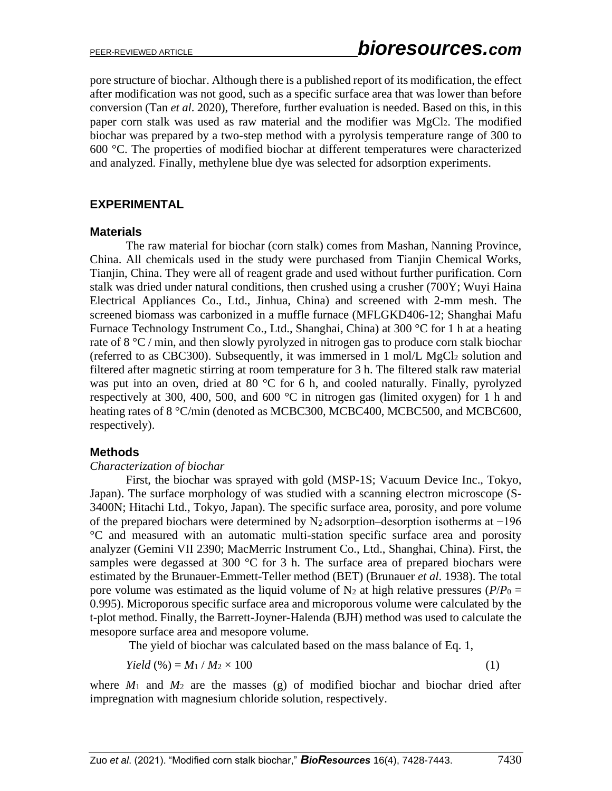pore structure of biochar. Although there is a published report of its modification, the effect after modification was not good, such as a specific surface area that was lower than before conversion (Tan *et al*. 2020), Therefore, further evaluation is needed. Based on this, in this paper corn stalk was used as raw material and the modifier was MgCl2. The modified biochar was prepared by a two-step method with a pyrolysis temperature range of 300 to 600 °C. The properties of modified biochar at different temperatures were characterized and analyzed. Finally, methylene blue dye was selected for adsorption experiments.

#### **EXPERIMENTAL**

#### **Materials**

The raw material for biochar (corn stalk) comes from Mashan, Nanning Province, China. All chemicals used in the study were purchased from Tianjin Chemical Works, Tianjin, China. They were all of reagent grade and used without further purification. Corn stalk was dried under natural conditions, then crushed using a crusher (700Y; Wuyi Haina Electrical Appliances Co., Ltd., Jinhua, China) and screened with 2-mm mesh. The screened biomass was carbonized in a muffle furnace (MFLGKD406-12; Shanghai Mafu Furnace Technology Instrument Co., Ltd., Shanghai, China) at 300 °C for 1 h at a heating rate of 8 °C / min, and then slowly pyrolyzed in nitrogen gas to produce corn stalk biochar (referred to as CBC300). Subsequently, it was immersed in 1 mol/L MgCl<sup>2</sup> solution and filtered after magnetic stirring at room temperature for 3 h. The filtered stalk raw material was put into an oven, dried at 80 °C for 6 h, and cooled naturally. Finally, pyrolyzed respectively at 300, 400, 500, and 600 °C in nitrogen gas (limited oxygen) for 1 h and heating rates of 8 °C/min (denoted as MCBC300, MCBC400, MCBC500, and MCBC600, respectively).

#### **Methods**

#### *Characterization of biochar*

First, the biochar was sprayed with gold (MSP-1S; Vacuum Device Inc., Tokyo, Japan). The surface morphology of was studied with a scanning electron microscope (S-3400N; Hitachi Ltd., Tokyo, Japan). The specific surface area, porosity, and pore volume of the prepared biochars were determined by N<sup>2</sup> adsorption–desorption isotherms at −196 °C and measured with an automatic multi-station specific surface area and porosity analyzer (Gemini VII 2390; MacMerric Instrument Co., Ltd., Shanghai, China). First, the samples were degassed at 300 °C for 3 h. The surface area of prepared biochars were estimated by the Brunauer-Emmett-Teller method (BET) (Brunauer *et al*. 1938). The total pore volume was estimated as the liquid volume of  $N_2$  at high relative pressures ( $P/P_0 =$ 0.995). Microporous specific surface area and microporous volume were calculated by the t-plot method. Finally, the Barrett-Joyner-Halenda (BJH) method was used to calculate the mesopore surface area and mesopore volume.

The yield of biochar was calculated based on the mass balance of Eq. 1,

$$
Yield \, (\%) = M_1 / M_2 \times 100 \tag{1}
$$

where  $M_1$  and  $M_2$  are the masses (g) of modified biochar and biochar dried after impregnation with magnesium chloride solution, respectively.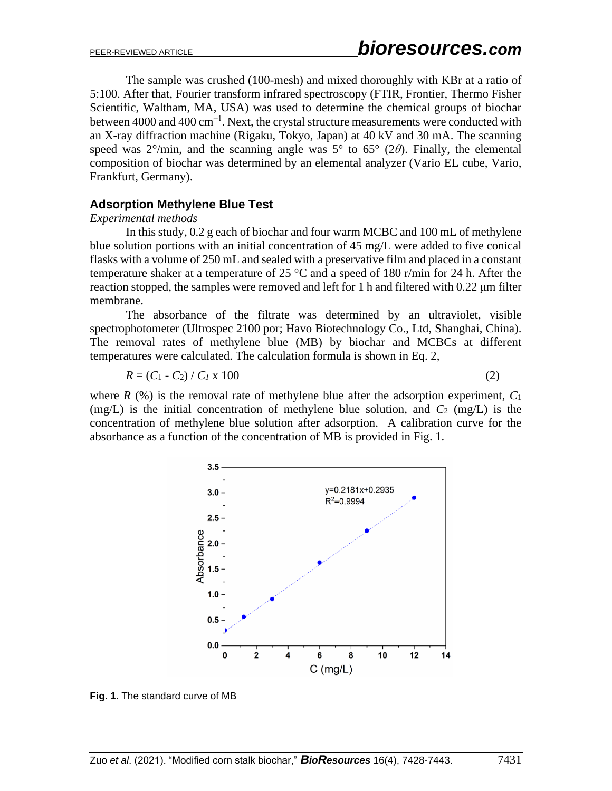The sample was crushed (100-mesh) and mixed thoroughly with KBr at a ratio of 5:100. After that, Fourier transform infrared spectroscopy (FTIR, Frontier, Thermo Fisher Scientific, Waltham, MA, USA) was used to determine the chemical groups of biochar between 4000 and 400 cm<sup>-1</sup>. Next, the crystal structure measurements were conducted with an X-ray diffraction machine (Rigaku, Tokyo, Japan) at 40 kV and 30 mA. The scanning speed was  $2^{\circ}/\text{min}$ , and the scanning angle was  $5^{\circ}$  to  $65^{\circ}$  (2 $\theta$ ). Finally, the elemental composition of biochar was determined by an elemental analyzer (Vario EL cube, Vario, Frankfurt, Germany).

## **Adsorption Methylene Blue Test**

#### *Experimental methods*

In this study, 0.2 g each of biochar and four warm MCBC and 100 mL of methylene blue solution portions with an initial concentration of 45 mg/L were added to five conical flasks with a volume of 250 mL and sealed with a preservative film and placed in a constant temperature shaker at a temperature of 25 °C and a speed of 180 r/min for 24 h. After the reaction stopped, the samples were removed and left for 1 h and filtered with 0.22 μm filter membrane.

The absorbance of the filtrate was determined by an ultraviolet, visible spectrophotometer (Ultrospec 2100 por; Havo Biotechnology Co., Ltd, Shanghai, China). The removal rates of methylene blue (MB) by biochar and MCBCs at different temperatures were calculated. The calculation formula is shown in Eq. 2,

$$
R = (C_1 - C_2) / C_I \times 100 \tag{2}
$$

where  $R$  (%) is the removal rate of methylene blue after the adsorption experiment,  $C_1$ (mg/L) is the initial concentration of methylene blue solution, and  $C_2$  (mg/L) is the concentration of methylene blue solution after adsorption. A calibration curve for the absorbance as a function of the concentration of MB is provided in Fig. 1.



**Fig. 1.** The standard curve of MB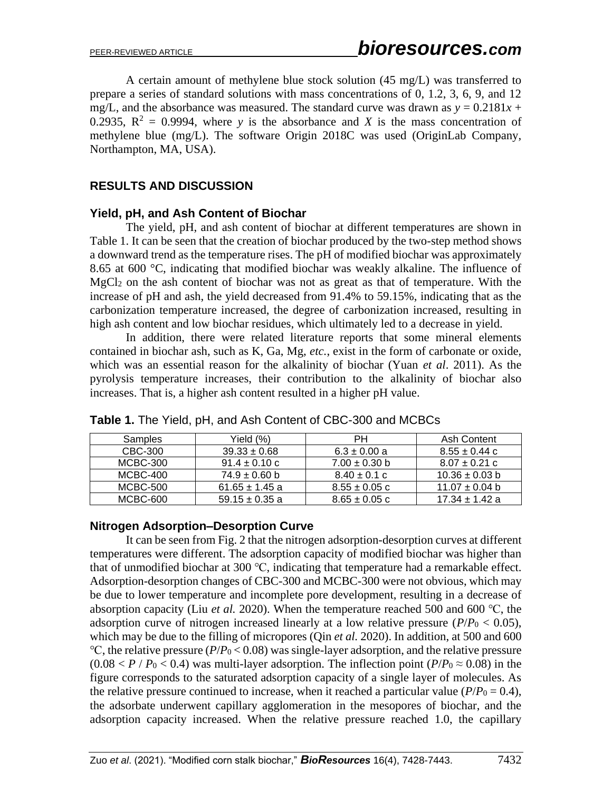A certain amount of methylene blue stock solution (45 mg/L) was transferred to prepare a series of standard solutions with mass concentrations of 0, 1.2, 3, 6, 9, and 12 mg/L, and the absorbance was measured. The standard curve was drawn as  $y = 0.2181x +$ 0.2935,  $R^2 = 0.9994$ , where *y* is the absorbance and *X* is the mass concentration of methylene blue (mg/L). The software Origin 2018C was used (OriginLab Company, Northampton, MA, USA).

# **RESULTS AND DISCUSSION**

#### **Yield, pH, and Ash Content of Biochar**

The yield, pH, and ash content of biochar at different temperatures are shown in Table 1. It can be seen that the creation of biochar produced by the two-step method shows a downward trend as the temperature rises. The pH of modified biochar was approximately 8.65 at 600 °C, indicating that modified biochar was weakly alkaline. The influence of MgCl<sup>2</sup> on the ash content of biochar was not as great as that of temperature. With the increase of pH and ash, the yield decreased from 91.4% to 59.15%, indicating that as the carbonization temperature increased, the degree of carbonization increased, resulting in high ash content and low biochar residues, which ultimately led to a decrease in yield.

In addition, there were related literature reports that some mineral elements contained in biochar ash, such as K, Ga, Mg, *etc.*, exist in the form of carbonate or oxide, which was an essential reason for the alkalinity of biochar (Yuan *et al*. 2011). As the pyrolysis temperature increases, their contribution to the alkalinity of biochar also increases. That is, a higher ash content resulted in a higher pH value.

| Samples  | Yield $(\%)$       | PН                | Ash Content        |
|----------|--------------------|-------------------|--------------------|
| CBC-300  | $39.33 \pm 0.68$   | $6.3 \pm 0.00 a$  | $8.55 \pm 0.44$ c  |
| MCBC-300 | $91.4 \pm 0.10$ c  | $7.00 \pm 0.30$ b | $8.07 \pm 0.21$ c  |
| MCBC-400 | $74.9 \pm 0.60$ b  | $8.40 \pm 0.1$ c  | $10.36 \pm 0.03$ b |
| MCBC-500 | $61.65 \pm 1.45$ a | $8.55 \pm 0.05$ c | $11.07 \pm 0.04$ b |
| MCBC-600 | $59.15 \pm 0.35$ a | $8.65 \pm 0.05$ c | $17.34 \pm 1.42$ a |

**Table 1.** The Yield, pH, and Ash Content of CBC-300 and MCBCs

## **Nitrogen Adsorption–Desorption Curve**

It can be seen from Fig. 2 that the nitrogen adsorption-desorption curves at different temperatures were different. The adsorption capacity of modified biochar was higher than that of unmodified biochar at 300 ℃, indicating that temperature had a remarkable effect. Adsorption-desorption changes of CBC-300 and MCBC-300 were not obvious, which may be due to lower temperature and incomplete pore development, resulting in a decrease of absorption capacity (Liu *et al.* 2020). When the temperature reached 500 and 600 ℃, the adsorption curve of nitrogen increased linearly at a low relative pressure  $(P/P_0 < 0.05)$ , which may be due to the filling of micropores (Qin *et al.* 2020). In addition, at 500 and 600 ℃, the relative pressure (*P*/*P*<sup>0</sup> < 0.08) was single-layer adsorption, and the relative pressure  $(0.08 < P / P_0 < 0.4)$  was multi-layer adsorption. The inflection point  $(P/P_0 \approx 0.08)$  in the figure corresponds to the saturated adsorption capacity of a single layer of molecules. As the relative pressure continued to increase, when it reached a particular value ( $P/P_0 = 0.4$ ), the adsorbate underwent capillary agglomeration in the mesopores of biochar, and the adsorption capacity increased. When the relative pressure reached 1.0, the capillary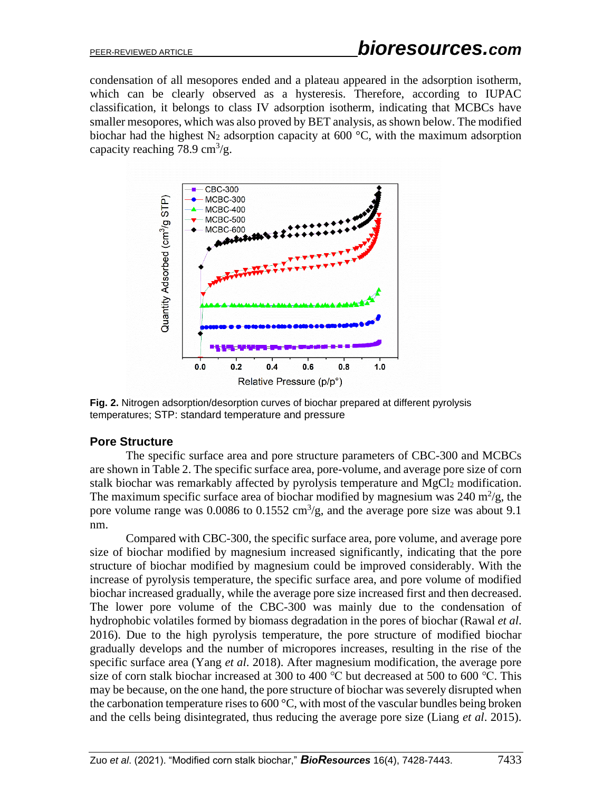condensation of all mesopores ended and a plateau appeared in the adsorption isotherm, which can be clearly observed as a hysteresis. Therefore, according to IUPAC classification, it belongs to class IV adsorption isotherm, indicating that MCBCs have smaller mesopores, which was also proved by BET analysis, as shown below. The modified biochar had the highest N<sub>2</sub> adsorption capacity at 600 °C, with the maximum adsorption capacity reaching 78.9 cm<sup>3</sup>/g.



**Fig. 2.** Nitrogen adsorption/desorption curves of biochar prepared at different pyrolysis temperatures; STP: standard temperature and pressure

## **Pore Structure**

The specific surface area and pore structure parameters of CBC-300 and MCBCs are shown in Table 2. The specific surface area, pore-volume, and average pore size of corn stalk biochar was remarkably affected by pyrolysis temperature and MgCl<sub>2</sub> modification. The maximum specific surface area of biochar modified by magnesium was  $240 \text{ m}^2/\text{g}$ , the pore volume range was 0.0086 to 0.1552 cm<sup>3</sup>/g, and the average pore size was about 9.1 nm.

Compared with CBC-300, the specific surface area, pore volume, and average pore size of biochar modified by magnesium increased significantly, indicating that the pore structure of biochar modified by magnesium could be improved considerably. With the increase of pyrolysis temperature, the specific surface area, and pore volume of modified biochar increased gradually, while the average pore size increased first and then decreased. The lower pore volume of the CBC-300 was mainly due to the condensation of hydrophobic volatiles formed by biomass degradation in the pores of biochar (Rawal *et al*. 2016). Due to the high pyrolysis temperature, the pore structure of modified biochar gradually develops and the number of micropores increases, resulting in the rise of the specific surface area (Yang *et al*. 2018). After magnesium modification, the average pore size of corn stalk biochar increased at 300 to 400 ℃ but decreased at 500 to 600 ℃. This may be because, on the one hand, the pore structure of biochar was severely disrupted when the carbonation temperature rises to  $600\degree C$ , with most of the vascular bundles being broken and the cells being disintegrated, thus reducing the average pore size (Liang *et al*. 2015).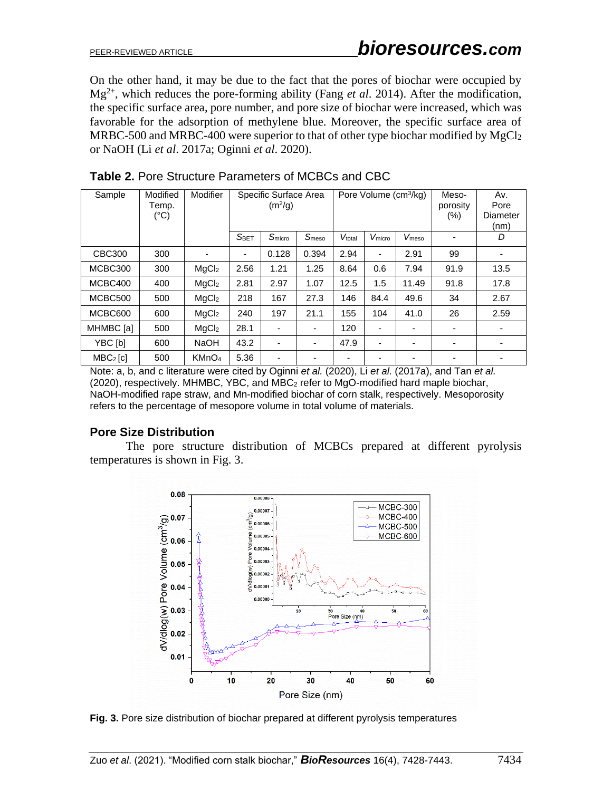On the other hand, it may be due to the fact that the pores of biochar were occupied by Mg2+, which reduces the pore-forming ability (Fang *et al*. 2014). After the modification, the specific surface area, pore number, and pore size of biochar were increased, which was favorable for the adsorption of methylene blue. Moreover, the specific surface area of MRBC-500 and MRBC-400 were superior to that of other type biochar modified by MgCl<sup>2</sup> or NaOH (Li *et al*. 2017a; Oginni *et al*. 2020).

| Sample     | Modified<br>Temp.<br>$(^{\circ}C)$ | Modifier          | Specific Surface Area<br>Pore Volume (cm <sup>3</sup> /kg)<br>(m <sup>2</sup> /g) |                          |                          | Meso-<br>porosity<br>$(\% )$ | Av.<br>Pore<br>Diameter<br>(nm) |                   |                          |                          |
|------------|------------------------------------|-------------------|-----------------------------------------------------------------------------------|--------------------------|--------------------------|------------------------------|---------------------------------|-------------------|--------------------------|--------------------------|
|            |                                    |                   | S <sub>BET</sub>                                                                  | S <sub>micro</sub>       | Smeso                    | Vtotal                       | V <sub>micro</sub>              | V <sub>meso</sub> |                          | D                        |
| CBC300     | 300                                |                   | ٠                                                                                 | 0.128                    | 0.394                    | 2.94                         | $\overline{\phantom{a}}$        | 2.91              | 99                       |                          |
| MCBC300    | 300                                | MqCl <sub>2</sub> | 2.56                                                                              | 1.21                     | 1.25                     | 8.64                         | 0.6                             | 7.94              | 91.9                     | 13.5                     |
| MCBC400    | 400                                | MqCl <sub>2</sub> | 2.81                                                                              | 2.97                     | 1.07                     | 12.5                         | 1.5                             | 11.49             | 91.8                     | 17.8                     |
| MCBC500    | 500                                | MqCl <sub>2</sub> | 218                                                                               | 167                      | 27.3                     | 146                          | 84.4                            | 49.6              | 34                       | 2.67                     |
| MCBC600    | 600                                | MqCl <sub>2</sub> | 240                                                                               | 197                      | 21.1                     | 155                          | 104                             | 41.0              | 26                       | 2.59                     |
| MHMBC [a]  | 500                                | MqCl <sub>2</sub> | 28.1                                                                              | ۰                        | ۰                        | 120                          | $\overline{\phantom{a}}$        |                   | $\overline{\phantom{a}}$ | $\overline{\phantom{a}}$ |
| YBC [b]    | 600                                | <b>NaOH</b>       | 43.2                                                                              | $\overline{\phantom{0}}$ | $\overline{\phantom{0}}$ | 47.9                         | ٠                               |                   | $\overline{\phantom{0}}$ | ۰                        |
| $MBC2$ [c] | 500                                | KMnO <sub>4</sub> | 5.36                                                                              | -                        |                          |                              |                                 |                   |                          |                          |

**Table 2.** Pore Structure Parameters of MCBCs and CBC

Note: a, b, and c literature were cited by Oginni *et al.* (2020), Li *et al.* (2017a), and Tan *et al.* (2020), respectively. MHMBC, YBC, and MBC<sup>2</sup> refer to MgO-modified hard maple biochar, NaOH-modified rape straw, and Mn-modified biochar of corn stalk, respectively. Mesoporosity refers to the percentage of mesopore volume in total volume of materials.

## **Pore Size Distribution**

The pore structure distribution of MCBCs prepared at different pyrolysis temperatures is shown in Fig. 3.



**Fig. 3.** Pore size distribution of biochar prepared at different pyrolysis temperatures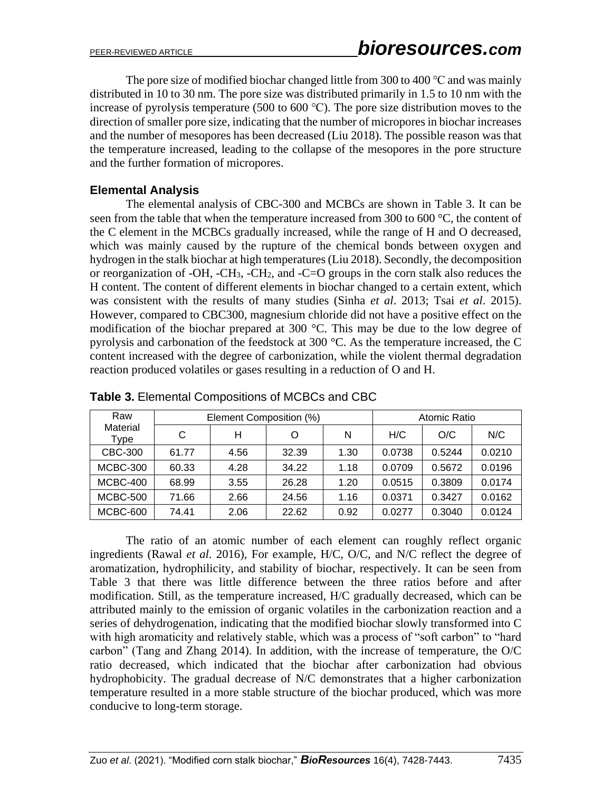The pore size of modified biochar changed little from 300 to 400 ℃ and was mainly distributed in 10 to 30 nm. The pore size was distributed primarily in 1.5 to 10 nm with the increase of pyrolysis temperature (500 to 600 ℃). The pore size distribution moves to the direction of smaller pore size, indicating that the number of micropores in biochar increases and the number of mesopores has been decreased (Liu 2018). The possible reason was that the temperature increased, leading to the collapse of the mesopores in the pore structure and the further formation of micropores.

# **Elemental Analysis**

The elemental analysis of CBC-300 and MCBCs are shown in Table 3. It can be seen from the table that when the temperature increased from 300 to 600 °C, the content of the C element in the MCBCs gradually increased, while the range of H and O decreased, which was mainly caused by the rupture of the chemical bonds between oxygen and hydrogen in the stalk biochar at high temperatures (Liu 2018). Secondly, the decomposition or reorganization of -OH, -CH3, -CH2, and -C=O groups in the corn stalk also reduces the H content. The content of different elements in biochar changed to a certain extent, which was consistent with the results of many studies (Sinha *et al*. 2013; Tsai *et al*. 2015). However, compared to CBC300, magnesium chloride did not have a positive effect on the modification of the biochar prepared at 300 °C. This may be due to the low degree of pyrolysis and carbonation of the feedstock at 300 °C. As the temperature increased, the C content increased with the degree of carbonization, while the violent thermal degradation reaction produced volatiles or gases resulting in a reduction of O and H.

| Raw              |       | Element Composition (%) | Atomic Ratio |      |        |        |        |
|------------------|-------|-------------------------|--------------|------|--------|--------|--------|
| Material<br>Type | С     | н                       | Ω            | N    | H/C    | O/C    | N/C    |
| CBC-300          | 61.77 | 4.56                    | 32.39        | 1.30 | 0.0738 | 0.5244 | 0.0210 |
| <b>MCBC-300</b>  | 60.33 | 4.28                    | 34.22        | 1.18 | 0.0709 | 0.5672 | 0.0196 |
| <b>MCBC-400</b>  | 68.99 | 3.55                    | 26.28        | 1.20 | 0.0515 | 0.3809 | 0.0174 |
| <b>MCBC-500</b>  | 71.66 | 2.66                    | 24.56        | 1.16 | 0.0371 | 0.3427 | 0.0162 |
| MCBC-600         | 74.41 | 2.06                    | 22.62        | 0.92 | 0.0277 | 0.3040 | 0.0124 |

**Table 3.** Elemental Compositions of MCBCs and CBC

The ratio of an atomic number of each element can roughly reflect organic ingredients (Rawal *et al*. 2016), For example, H/C, O/C, and N/C reflect the degree of aromatization, hydrophilicity, and stability of biochar, respectively. It can be seen from Table 3 that there was little difference between the three ratios before and after modification. Still, as the temperature increased, H/C gradually decreased, which can be attributed mainly to the emission of organic volatiles in the carbonization reaction and a series of dehydrogenation, indicating that the modified biochar slowly transformed into C with high aromaticity and relatively stable, which was a process of "soft carbon" to "hard carbon" (Tang and Zhang 2014). In addition, with the increase of temperature, the O/C ratio decreased, which indicated that the biochar after carbonization had obvious hydrophobicity. The gradual decrease of N/C demonstrates that a higher carbonization temperature resulted in a more stable structure of the biochar produced, which was more conducive to long-term storage.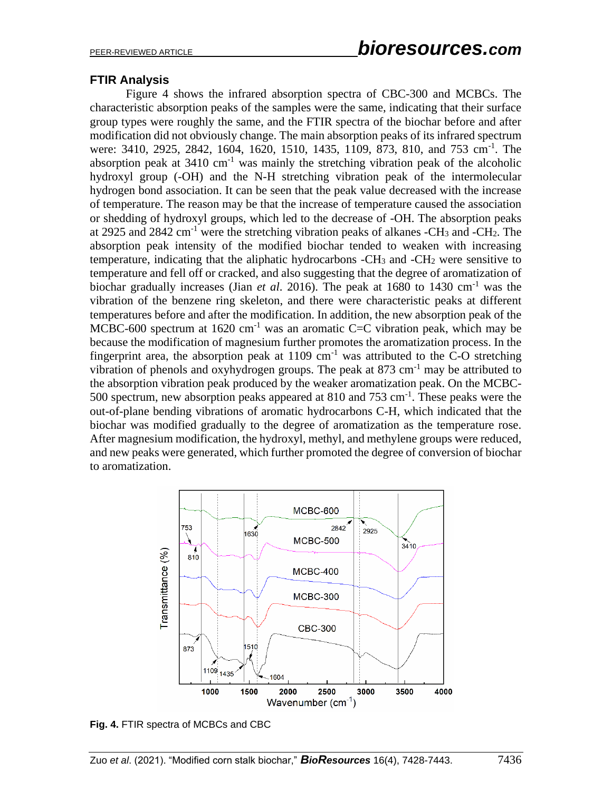# **FTIR Analysis**

Figure 4 shows the infrared absorption spectra of CBC-300 and MCBCs. The characteristic absorption peaks of the samples were the same, indicating that their surface group types were roughly the same, and the FTIR spectra of the biochar before and after modification did not obviously change. The main absorption peaks of its infrared spectrum were: 3410, 2925, 2842, 1604, 1620, 1510, 1435, 1109, 873, 810, and 753 cm<sup>-1</sup>. The absorption peak at  $3410 \text{ cm}^{-1}$  was mainly the stretching vibration peak of the alcoholic hydroxyl group (-OH) and the N-H stretching vibration peak of the intermolecular hydrogen bond association. It can be seen that the peak value decreased with the increase of temperature. The reason may be that the increase of temperature caused the association or shedding of hydroxyl groups, which led to the decrease of -OH. The absorption peaks at 2925 and 2842 cm<sup>-1</sup> were the stretching vibration peaks of alkanes -CH<sub>3</sub> and -CH<sub>2</sub>. The absorption peak intensity of the modified biochar tended to weaken with increasing temperature, indicating that the aliphatic hydrocarbons  $-CH_3$  and  $-CH_2$  were sensitive to temperature and fell off or cracked, and also suggesting that the degree of aromatization of biochar gradually increases (Jian *et al*. 2016). The peak at 1680 to 1430 cm-1 was the vibration of the benzene ring skeleton, and there were characteristic peaks at different temperatures before and after the modification. In addition, the new absorption peak of the MCBC-600 spectrum at  $1620 \text{ cm}^{-1}$  was an aromatic C=C vibration peak, which may be because the modification of magnesium further promotes the aromatization process. In the fingerprint area, the absorption peak at  $1109 \text{ cm}^{-1}$  was attributed to the C-O stretching vibration of phenols and oxyhydrogen groups. The peak at  $873 \text{ cm}^{-1}$  may be attributed to the absorption vibration peak produced by the weaker aromatization peak. On the MCBC-500 spectrum, new absorption peaks appeared at 810 and 753 cm<sup>-1</sup>. These peaks were the out-of-plane bending vibrations of aromatic hydrocarbons C-H, which indicated that the biochar was modified gradually to the degree of aromatization as the temperature rose. After magnesium modification, the hydroxyl, methyl, and methylene groups were reduced, and new peaks were generated, which further promoted the degree of conversion of biochar to aromatization.



**Fig. 4.** FTIR spectra of MCBCs and CBC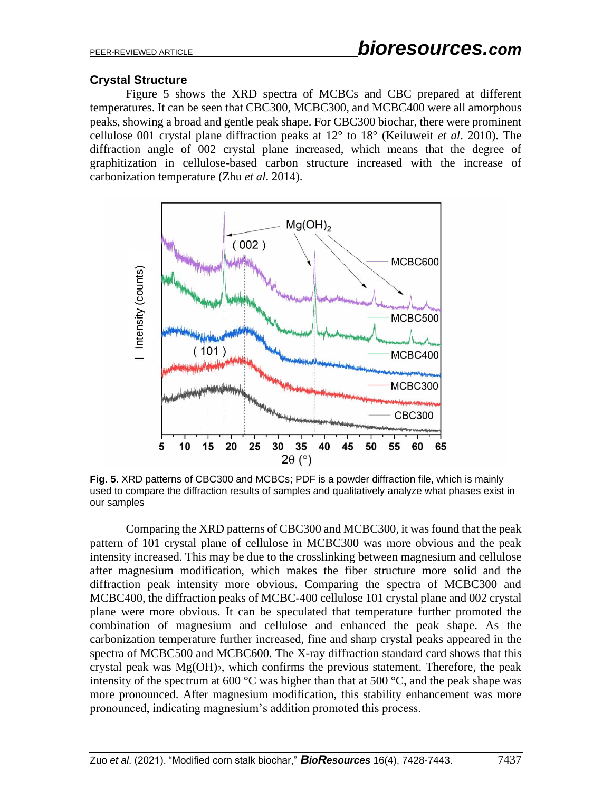# **Crystal Structure**

Figure 5 shows the XRD spectra of MCBCs and CBC prepared at different temperatures. It can be seen that CBC300, MCBC300, and MCBC400 were all amorphous peaks, showing a broad and gentle peak shape. For CBC300 biochar, there were prominent cellulose 001 crystal plane diffraction peaks at 12° to 18° (Keiluweit *et al*. 2010). The diffraction angle of 002 crystal plane increased, which means that the degree of graphitization in cellulose-based carbon structure increased with the increase of carbonization temperature (Zhu *et al*. 2014).



**Fig. 5.** XRD patterns of CBC300 and MCBCs; PDF is a powder diffraction file, which is mainly used to compare the diffraction results of samples and qualitatively analyze what phases exist in our samples

Comparing the XRD patterns of CBC300 and MCBC300, it was found that the peak pattern of 101 crystal plane of cellulose in MCBC300 was more obvious and the peak intensity increased. This may be due to the crosslinking between magnesium and cellulose after magnesium modification, which makes the fiber structure more solid and the diffraction peak intensity more obvious. Comparing the spectra of MCBC300 and MCBC400, the diffraction peaks of MCBC-400 cellulose 101 crystal plane and 002 crystal plane were more obvious. It can be speculated that temperature further promoted the combination of magnesium and cellulose and enhanced the peak shape. As the carbonization temperature further increased, fine and sharp crystal peaks appeared in the spectra of MCBC500 and MCBC600. The X-ray diffraction standard card shows that this crystal peak was  $Mg(OH)_2$ , which confirms the previous statement. Therefore, the peak intensity of the spectrum at 600  $\degree$ C was higher than that at 500  $\degree$ C, and the peak shape was more pronounced. After magnesium modification, this stability enhancement was more provided the section of the section of magnesium and cellulose and enhanced this process.<br>The constrained proposition of the section of the section of the section propose the diffraction results of samples<br>of the comparin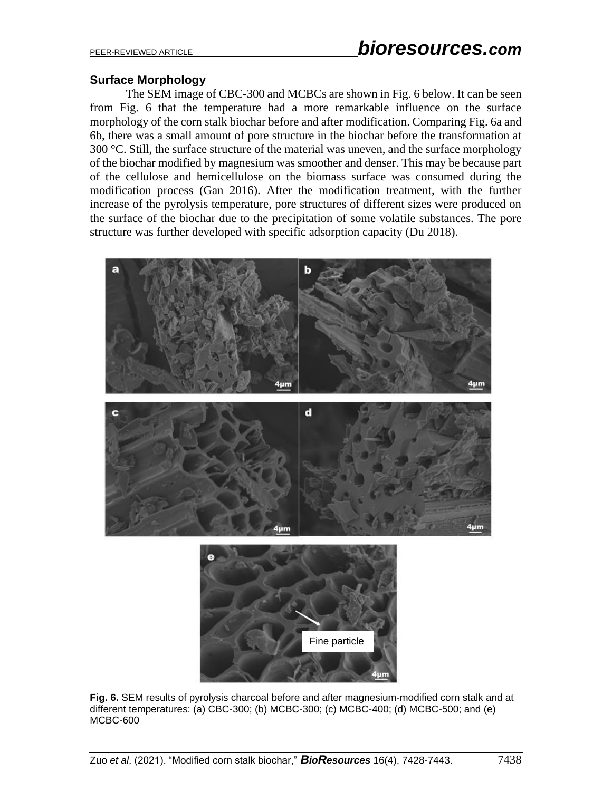## **Surface Morphology**

The SEM image of CBC-300 and MCBCs are shown in Fig. 6 below. It can be seen from Fig. 6 that the temperature had a more remarkable influence on the surface morphology of the corn stalk biochar before and after modification. Comparing Fig. 6a and 6b, there was a small amount of pore structure in the biochar before the transformation at 300 °C. Still, the surface structure of the material was uneven, and the surface morphology of the biochar modified by magnesium was smoother and denser. This may be because part of the cellulose and hemicellulose on the biomass surface was consumed during the modification process (Gan 2016). After the modification treatment, with the further increase of the pyrolysis temperature, pore structures of different sizes were produced on the surface of the biochar due to the precipitation of some volatile substances. The pore structure was further developed with specific adsorption capacity (Du 2018).



**Fig. 6.** SEM results of pyrolysis charcoal before and after magnesium-modified corn stalk and at different temperatures: (a) CBC-300; (b) MCBC-300; (c) MCBC-400; (d) MCBC-500; and (e) MCBC-600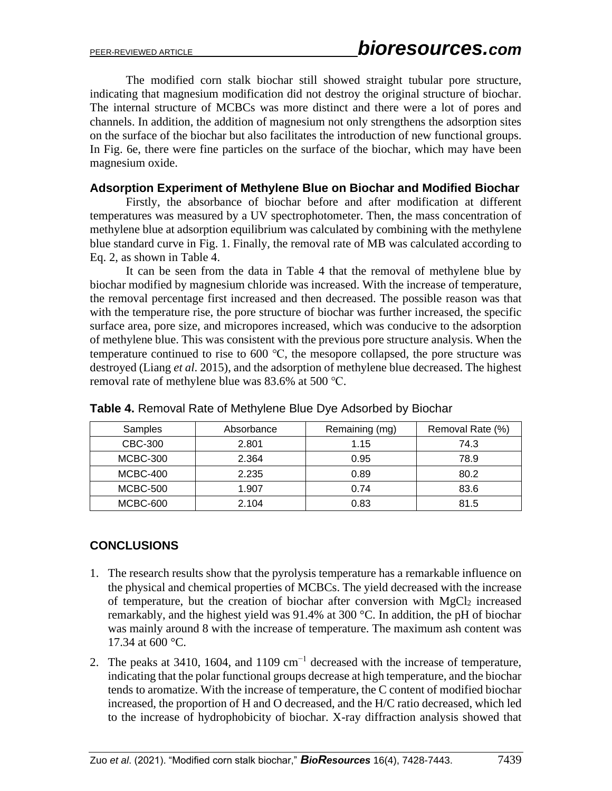The modified corn stalk biochar still showed straight tubular pore structure, indicating that magnesium modification did not destroy the original structure of biochar. The internal structure of MCBCs was more distinct and there were a lot of pores and channels. In addition, the addition of magnesium not only strengthens the adsorption sites on the surface of the biochar but also facilitates the introduction of new functional groups. In Fig. 6e, there were fine particles on the surface of the biochar, which may have been magnesium oxide.

#### **Adsorption Experiment of Methylene Blue on Biochar and Modified Biochar**

Firstly, the absorbance of biochar before and after modification at different temperatures was measured by a UV spectrophotometer. Then, the mass concentration of methylene blue at adsorption equilibrium was calculated by combining with the methylene blue standard curve in Fig. 1. Finally, the removal rate of MB was calculated according to Eq. 2, as shown in Table 4.

It can be seen from the data in Table 4 that the removal of methylene blue by biochar modified by magnesium chloride was increased. With the increase of temperature, the removal percentage first increased and then decreased. The possible reason was that with the temperature rise, the pore structure of biochar was further increased, the specific surface area, pore size, and micropores increased, which was conducive to the adsorption of methylene blue. This was consistent with the previous pore structure analysis. When the temperature continued to rise to 600 ℃, the mesopore collapsed, the pore structure was destroyed (Liang *et al*. 2015), and the adsorption of methylene blue decreased. The highest removal rate of methylene blue was 83.6% at 500 ℃.

| Samples         | Absorbance | Remaining (mg) | Removal Rate (%) |
|-----------------|------------|----------------|------------------|
| CBC-300         | 2.801      | 1.15           | 74.3             |
| <b>MCBC-300</b> | 2.364      | 0.95           | 78.9             |
| <b>MCBC-400</b> | 2.235      | 0.89           | 80.2             |
| <b>MCBC-500</b> | 1.907      | 0.74           | 83.6             |
| MCBC-600        | 2.104      | 0.83           | 81.5             |

**Table 4.** Removal Rate of Methylene Blue Dye Adsorbed by Biochar

## **CONCLUSIONS**

- 1. The research results show that the pyrolysis temperature has a remarkable influence on the physical and chemical properties of MCBCs. The yield decreased with the increase of temperature, but the creation of biochar after conversion with MgCl<sub>2</sub> increased remarkably, and the highest yield was 91.4% at 300 °C. In addition, the pH of biochar was mainly around 8 with the increase of temperature. The maximum ash content was 17.34 at 600 °C.
- 2. The peaks at 3410, 1604, and 1109 cm<sup>-1</sup> decreased with the increase of temperature, indicating that the polar functional groups decrease at high temperature, and the biochar tends to aromatize. With the increase of temperature, the C content of modified biochar increased, the proportion of H and O decreased, and the H/C ratio decreased, which led to the increase of hydrophobicity of biochar. X-ray diffraction analysis showed that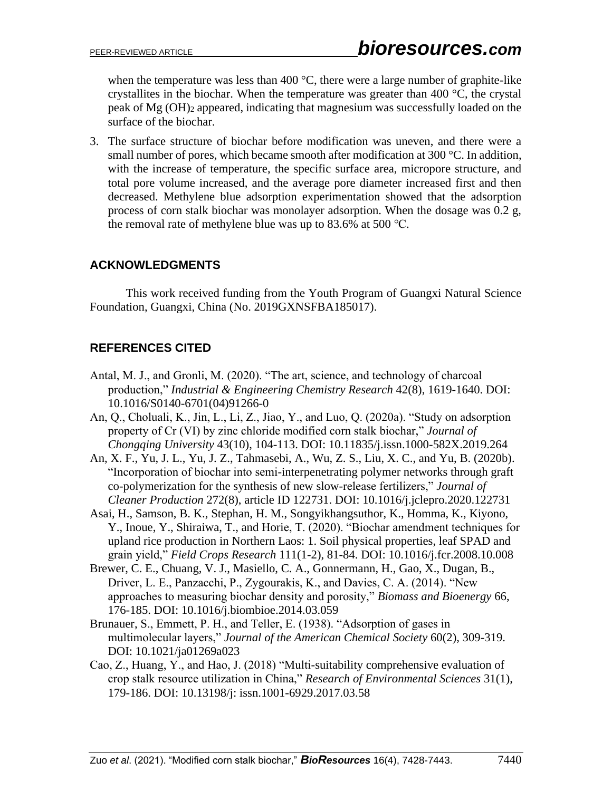when the temperature was less than 400  $\degree$ C, there were a large number of graphite-like crystallites in the biochar. When the temperature was greater than 400 °C, the crystal peak of Mg (OH)<sup>2</sup> appeared, indicating that magnesium was successfully loaded on the surface of the biochar.

3. The surface structure of biochar before modification was uneven, and there were a small number of pores, which became smooth after modification at 300 °C. In addition, with the increase of temperature, the specific surface area, micropore structure, and total pore volume increased, and the average pore diameter increased first and then decreased. Methylene blue adsorption experimentation showed that the adsorption process of corn stalk biochar was monolayer adsorption. When the dosage was 0.2 g, the removal rate of methylene blue was up to 83.6% at 500 ℃.

# **ACKNOWLEDGMENTS**

This work received funding from the Youth Program of Guangxi Natural Science Foundation, Guangxi, China (No. 2019GXNSFBA185017).

# **REFERENCES CITED**

- Antal, M. J., and Gronli, M. (2020). "The art, science, and technology of charcoal production," *Industrial & Engineering Chemistry Research* 42(8), 1619-1640. DOI: 10.1016/S0140-6701(04)91266-0
- An, Q., Choluali, K., Jin, L., Li, Z., Jiao, Y., and Luo, Q. (2020a). "Study on adsorption property of Cr (VI) by zinc chloride modified corn stalk biochar," *Journal of Chongqing University* 43(10), 104-113. DOI: 10.11835/j.issn.1000-582X.2019.264
- An, X. F., Yu, J. L., Yu, J. Z., Tahmasebi, A., Wu, Z. S., Liu, X. C., and Yu, B. (2020b). "Incorporation of biochar into semi-interpenetrating polymer networks through graft co-polymerization for the synthesis of new slow-release fertilizers," *Journal of Cleaner Production* 272(8), article ID 122731. DOI: 10.1016/j.jclepro.2020.122731
- Asai, H., Samson, B. K., Stephan, H. M., Songyikhangsuthor, K., Homma, K., Kiyono, Y., Inoue, Y., Shiraiwa, T., and Horie, T. (2020). "Biochar amendment techniques for upland rice production in Northern Laos: 1. Soil physical properties, leaf SPAD and grain yield," *Field Crops Research* 111(1-2), 81-84. DOI: 10.1016/j.fcr.2008.10.008
- Brewer, C. E., Chuang, V. J., Masiello, C. A., Gonnermann, H., Gao, X., Dugan, B., Driver, L. E., Panzacchi, P., Zygourakis, K., and Davies, C. A. (2014). "New approaches to measuring biochar density and porosity," *Biomass and Bioenergy* 66, 176-185. DOI: 10.1016/j.biombioe.2014.03.059
- Brunauer, S., Emmett, P. H., and Teller, E. (1938). "Adsorption of gases in multimolecular layers," *Journal of the American Chemical Society* 60(2), 309-319. DOI: 10.1021/ja01269a023
- Cao, Z., Huang, Y., and Hao, J. (2018) "Multi-suitability comprehensive evaluation of crop stalk resource utilization in China," *Research of Environmental Sciences* 31(1), 179-186. DOI: 10.13198/j: issn.1001-6929.2017.03.58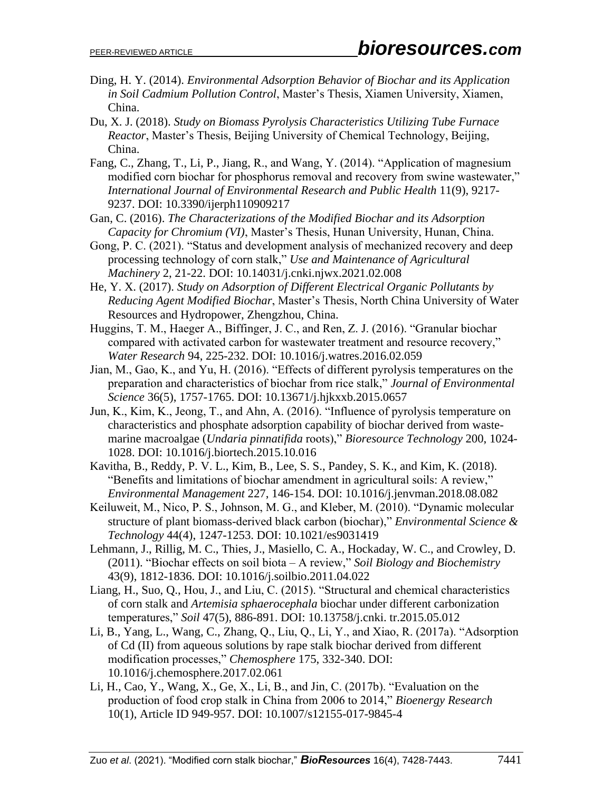- Ding, H. Y. (2014). *Environmental Adsorption Behavior of Biochar and its Application in Soil Cadmium Pollution Control*, Master's Thesis, Xiamen University, Xiamen, China.
- Du, X. J. (2018). *Study on Biomass Pyrolysis Characteristics Utilizing Tube Furnace Reactor*, Master's Thesis, Beijing University of Chemical Technology, Beijing, China.
- Fang, C., Zhang, T., Li, P., Jiang, R., and Wang, Y. (2014). "Application of magnesium modified corn biochar for phosphorus removal and recovery from swine wastewater," *International Journal of Environmental Research and Public Health* 11(9), 9217- 9237. DOI: 10.3390/ijerph110909217
- Gan, C. (2016). *The Characterizations of the Modified Biochar and its Adsorption Capacity for Chromium (VI)*, Master's Thesis, Hunan University, Hunan, China.
- Gong, P. C. (2021). "Status and development analysis of mechanized recovery and deep processing technology of corn stalk," *Use and Maintenance of Agricultural Machinery* 2, 21-22. DOI: 10.14031/j.cnki.njwx.2021.02.008
- He, Y. X. (2017). *Study on Adsorption of Different Electrical Organic Pollutants by Reducing Agent Modified Biochar*, Master's Thesis, North China University of Water Resources and Hydropower, Zhengzhou, China.
- Huggins, T. M., Haeger A., Biffinger, J. C., and Ren, Z. J. (2016). "Granular biochar compared with activated carbon for wastewater treatment and resource recovery," *Water Research* 94, 225-232. DOI: 10.1016/j.watres.2016.02.059
- Jian, M., Gao, K., and Yu, H. (2016). "Effects of different pyrolysis temperatures on the preparation and characteristics of biochar from rice stalk," *Journal of Environmental Science* 36(5), 1757-1765. DOI: 10.13671/j.hjkxxb.2015.0657
- Jun, K., Kim, K., Jeong, T., and Ahn, A. (2016). "Influence of pyrolysis temperature on characteristics and phosphate adsorption capability of biochar derived from wastemarine macroalgae (*Undaria pinnatifida* roots)," *Bioresource Technology* 200, 1024- 1028. DOI: 10.1016/j.biortech.2015.10.016
- Kavitha, B., Reddy, P. V. L., Kim, B., Lee, S. S., Pandey, S. K., and Kim, K. (2018). "Benefits and limitations of biochar amendment in agricultural soils: A review," *Environmental Management* 227, 146-154. DOI: 10.1016/j.jenvman.2018.08.082
- Keiluweit, M., Nico, P. S., Johnson, M. G., and Kleber, M. (2010). "Dynamic molecular structure of plant biomass-derived black carbon (biochar)," *Environmental Science & Technology* 44(4), 1247-1253. DOI: 10.1021/es9031419
- Lehmann, J., Rillig, M. C., Thies, J., Masiello, C. A., Hockaday, W. C., and Crowley, D. (2011). "Biochar effects on soil biota – A review," *Soil Biology and Biochemistry*  43(9), 1812-1836. DOI: 10.1016/j.soilbio.2011.04.022
- Liang, H., Suo, Q., Hou, J., and Liu, C. (2015). "Structural and chemical characteristics of corn stalk and *Artemisia sphaerocephala* biochar under different carbonization temperatures," *Soil* 47(5), 886-891. DOI: 10.13758/j.cnki. tr.2015.05.012
- Li, B., Yang, L., Wang, C., Zhang, Q., Liu, Q., Li, Y., and Xiao, R. (2017a). "Adsorption of Cd (II) from aqueous solutions by rape stalk biochar derived from different modification processes," *Chemosphere* 175, 332-340. DOI: 10.1016/j.chemosphere.2017.02.061
- Li, H., Cao, Y., Wang, X., Ge, X., Li, B., and Jin, C. (2017b). "Evaluation on the production of food crop stalk in China from 2006 to 2014," *Bioenergy Research*  10(1), Article ID 949-957. DOI: 10.1007/s12155-017-9845-4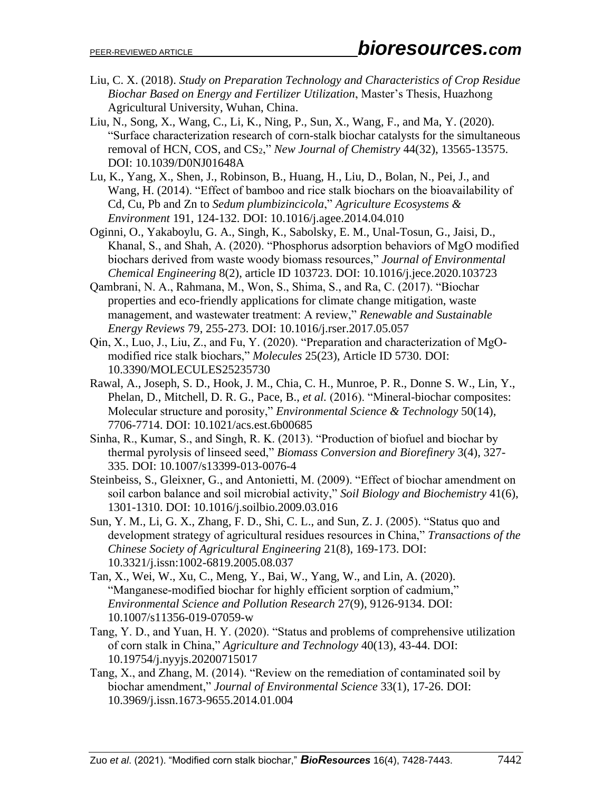- Liu, C. X. (2018). *Study on Preparation Technology and Characteristics of Crop Residue Biochar Based on Energy and Fertilizer Utilization*, Master's Thesis, Huazhong Agricultural University, Wuhan, China.
- Liu, N., Song, X., Wang, C., Li, K., Ning, P., Sun, X., Wang, F., and Ma, Y. (2020). "Surface characterization research of corn-stalk biochar catalysts for the simultaneous removal of HCN, COS, and CS2," *New Journal of Chemistry* 44(32), 13565-13575. DOI: 10.1039/D0NJ01648A
- Lu, K., Yang, X., Shen, J., Robinson, B., Huang, H., Liu, D., Bolan, N., Pei, J., and Wang, H. (2014). "Effect of bamboo and rice stalk biochars on the bioavailability of Cd, Cu, Pb and Zn to *Sedum plumbizincicola*," *Agriculture Ecosystems & Environment* 191, 124-132. DOI: 10.1016/j.agee.2014.04.010
- Oginni, O., Yakaboylu, G. A., Singh, K., Sabolsky, E. M., Unal-Tosun, G., Jaisi, D., Khanal, S., and Shah, A. (2020). "Phosphorus adsorption behaviors of MgO modified biochars derived from waste woody biomass resources," *Journal of Environmental Chemical Engineering* 8(2), article ID 103723. DOI: 10.1016/j.jece.2020.103723
- Qambrani, N. A., Rahmana, M., Won, S., Shima, S., and Ra, C. (2017). "Biochar properties and eco-friendly applications for climate change mitigation, waste management, and wastewater treatment: A review," *Renewable and Sustainable Energy Reviews* 79, 255-273. DOI: 10.1016/j.rser.2017.05.057
- Qin, X., Luo, J., Liu, Z., and Fu, Y. (2020). "Preparation and characterization of MgOmodified rice stalk biochars," *Molecules* 25(23), Article ID 5730. DOI: 10.3390/MOLECULES25235730
- Rawal, A., Joseph, S. D., Hook, J. M., Chia, C. H., Munroe, P. R., Donne S. W., Lin, Y., Phelan, D., Mitchell, D. R. G., Pace, B., *et al.* (2016). "Mineral-biochar composites: Molecular structure and porosity," *Environmental Science & Technology* 50(14), 7706-7714. DOI: 10.1021/acs.est.6b00685
- Sinha, R., Kumar, S., and Singh, R. K. (2013). "Production of biofuel and biochar by thermal pyrolysis of linseed seed," *Biomass Conversion and Biorefinery* 3(4), 327- 335. DOI: 10.1007/s13399-013-0076-4
- Steinbeiss, S., Gleixner, G., and Antonietti, M. (2009). "Effect of biochar amendment on soil carbon balance and soil microbial activity," *Soil Biology and Biochemistry* 41(6), 1301-1310. DOI: 10.1016/j.soilbio.2009.03.016
- Sun, Y. M., Li, G. X., Zhang, F. D., Shi, C. L., and Sun, Z. J. (2005). "Status quo and development strategy of agricultural residues resources in China," *Transactions of the Chinese Society of Agricultural Engineering* 21(8), 169-173. DOI: 10.3321/j.issn:1002-6819.2005.08.037
- Tan, X., Wei, W., Xu, C., Meng, Y., Bai, W., Yang, W., and Lin, A. (2020). "Manganese-modified biochar for highly efficient sorption of cadmium," *Environmental Science and Pollution Research* 27(9), 9126-9134. DOI: 10.1007/s11356-019-07059-w
- Tang, Y. D., and Yuan, H. Y. (2020). "Status and problems of comprehensive utilization of corn stalk in China," *Agriculture and Technology* 40(13), 43-44. DOI: 10.19754/j.nyyjs.20200715017
- Tang, X., and Zhang, M. (2014). "Review on the remediation of contaminated soil by biochar amendment," *Journal of Environmental Science* 33(1), 17-26. DOI: 10.3969/j.issn.1673-9655.2014.01.004